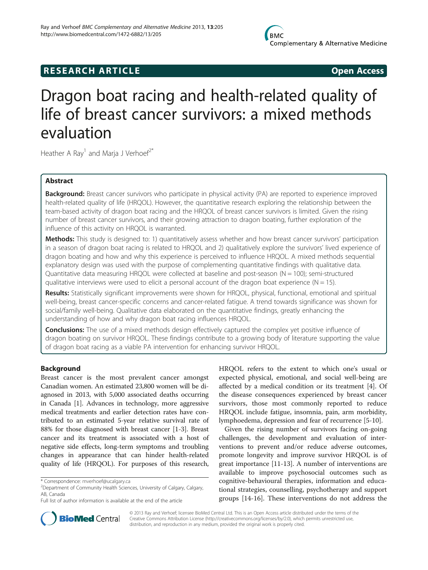# **RESEARCH ARTICLE Example 2018 12:00 Open Access**

# Dragon boat racing and health-related quality of life of breast cancer survivors: a mixed methods evaluation

Heather A Ray<sup>1</sup> and Marja J Verhoef<sup>2\*</sup>

# Abstract

Background: Breast cancer survivors who participate in physical activity (PA) are reported to experience improved health-related quality of life (HRQOL). However, the quantitative research exploring the relationship between the team-based activity of dragon boat racing and the HRQOL of breast cancer survivors is limited. Given the rising number of breast cancer survivors, and their growing attraction to dragon boating, further exploration of the influence of this activity on HRQOL is warranted.

**Methods:** This study is designed to: 1) quantitatively assess whether and how breast cancer survivors' participation in a season of dragon boat racing is related to HRQOL and 2) qualitatively explore the survivors' lived experience of dragon boating and how and why this experience is perceived to influence HRQOL. A mixed methods sequential explanatory design was used with the purpose of complementing quantitative findings with qualitative data. Quantitative data measuring HRQOL were collected at baseline and post-season (N = 100); semi-structured qualitative interviews were used to elicit a personal account of the dragon boat experience ( $N = 15$ ).

Results: Statistically significant improvements were shown for HRQOL, physical, functional, emotional and spiritual well-being, breast cancer-specific concerns and cancer-related fatigue. A trend towards significance was shown for social/family well-being. Qualitative data elaborated on the quantitative findings, greatly enhancing the understanding of how and why dragon boat racing influences HRQOL.

**Conclusions:** The use of a mixed methods design effectively captured the complex yet positive influence of dragon boating on survivor HRQOL. These findings contribute to a growing body of literature supporting the value of dragon boat racing as a viable PA intervention for enhancing survivor HRQOL.

# Background

Breast cancer is the most prevalent cancer amongst Canadian women. An estimated 23,800 women will be diagnosed in 2013, with 5,000 associated deaths occurring in Canada [\[1\]](#page-9-0). Advances in technology, more aggressive medical treatments and earlier detection rates have contributed to an estimated 5-year relative survival rate of 88% for those diagnosed with breast cancer [[1-3\]](#page-9-0). Breast cancer and its treatment is associated with a host of negative side effects, long-term symptoms and troubling changes in appearance that can hinder health-related quality of life (HRQOL). For purposes of this research,

HRQOL refers to the extent to which one's usual or expected physical, emotional, and social well-being are affected by a medical condition or its treatment [[4\]](#page-10-0). Of the disease consequences experienced by breast cancer survivors, those most commonly reported to reduce HRQOL include fatigue, insomnia, pain, arm morbidity, lymphoedema, depression and fear of recurrence [\[5](#page-10-0)-[10\]](#page-10-0).

Given the rising number of survivors facing on-going challenges, the development and evaluation of interventions to prevent and/or reduce adverse outcomes, promote longevity and improve survivor HRQOL is of great importance [\[11-13](#page-10-0)]. A number of interventions are available to improve psychosocial outcomes such as cognitive-behavioural therapies, information and educational strategies, counselling, psychotherapy and support groups [[14-16\]](#page-10-0). These interventions do not address the



© 2013 Ray and Verhoef; licensee BioMed Central Ltd. This is an Open Access article distributed under the terms of the Creative Commons Attribution License (<http://creativecommons.org/licenses/by/2.0>), which permits unrestricted use, distribution, and reproduction in any medium, provided the original work is properly cited.

<sup>\*</sup> Correspondence: [mverhoef@ucalgary.ca](mailto:mverhoef@ucalgary.ca) <sup>2</sup>

<sup>&</sup>lt;sup>2</sup>Department of Community Health Sciences, University of Calgary, Calgary, AB, Canada

Full list of author information is available at the end of the article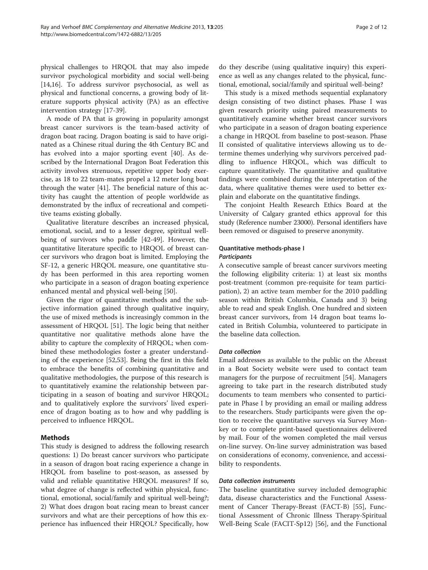physical challenges to HRQOL that may also impede survivor psychological morbidity and social well-being [[14,16\]](#page-10-0). To address survivor psychosocial, as well as physical and functional concerns, a growing body of literature supports physical activity (PA) as an effective intervention strategy [[17](#page-10-0)-[39\]](#page-10-0).

A mode of PA that is growing in popularity amongst breast cancer survivors is the team-based activity of dragon boat racing. Dragon boating is said to have originated as a Chinese ritual during the 4th Century BC and has evolved into a major sporting event [[40\]](#page-10-0). As described by the International Dragon Boat Federation this activity involves strenuous, repetitive upper body exercise, as 18 to 22 team-mates propel a 12 meter long boat through the water [\[41](#page-10-0)]. The beneficial nature of this activity has caught the attention of people worldwide as demonstrated by the influx of recreational and competitive teams existing globally.

Qualitative literature describes an increased physical, emotional, social, and to a lesser degree, spiritual wellbeing of survivors who paddle [[42-49\]](#page-10-0). However, the quantitative literature specific to HRQOL of breast cancer survivors who dragon boat is limited. Employing the SF-12, a generic HRQOL measure, one quantitative study has been performed in this area reporting women who participate in a season of dragon boating experience enhanced mental and physical well-being [\[50](#page-10-0)].

Given the rigor of quantitative methods and the subjective information gained through qualitative inquiry, the use of mixed methods is increasingly common in the assessment of HRQOL [[51\]](#page-10-0). The logic being that neither quantitative nor qualitative methods alone have the ability to capture the complexity of HRQOL; when combined these methodologies foster a greater understanding of the experience [[52,53\]](#page-10-0). Being the first in this field to embrace the benefits of combining quantitative and qualitative methodologies, the purpose of this research is to quantitatively examine the relationship between participating in a season of boating and survivor HRQOL; and to qualitatively explore the survivors' lived experience of dragon boating as to how and why paddling is perceived to influence HRQOL.

# Methods

This study is designed to address the following research questions: 1) Do breast cancer survivors who participate in a season of dragon boat racing experience a change in HRQOL from baseline to post-season, as assessed by valid and reliable quantitative HRQOL measures? If so, what degree of change is reflected within physical, functional, emotional, social/family and spiritual well-being?; 2) What does dragon boat racing mean to breast cancer survivors and what are their perceptions of how this experience has influenced their HRQOL? Specifically, how do they describe (using qualitative inquiry) this experience as well as any changes related to the physical, functional, emotional, social/family and spiritual well-being?

This study is a mixed methods sequential explanatory design consisting of two distinct phases. Phase I was given research priority using paired measurements to quantitatively examine whether breast cancer survivors who participate in a season of dragon boating experience a change in HRQOL from baseline to post-season. Phase II consisted of qualitative interviews allowing us to determine themes underlying why survivors perceived paddling to influence HRQOL, which was difficult to capture quantitatively. The quantitative and qualitative findings were combined during the interpretation of the data, where qualitative themes were used to better explain and elaborate on the quantitative findings.

The conjoint Health Research Ethics Board at the University of Calgary granted ethics approval for this study (Reference number 23000). Personal identifiers have been removed or disguised to preserve anonymity.

### Quantitative methods-phase I **Participants**

A consecutive sample of breast cancer survivors meeting the following eligibility criteria: 1) at least six months post-treatment (common pre-requisite for team participation), 2) an active team member for the 2010 paddling season within British Columbia, Canada and 3) being able to read and speak English. One hundred and sixteen breast cancer survivors, from 14 dragon boat teams located in British Columbia, volunteered to participate in the baseline data collection.

#### Data collection

Email addresses as available to the public on the Abreast in a Boat Society website were used to contact team managers for the purpose of recruitment [\[54](#page-10-0)]. Managers agreeing to take part in the research distributed study documents to team members who consented to participate in Phase I by providing an email or mailing address to the researchers. Study participants were given the option to receive the quantitative surveys via Survey Monkey or to complete print-based questionnaires delivered by mail. Four of the women completed the mail versus on-line survey. On-line survey administration was based on considerations of economy, convenience, and accessibility to respondents.

#### Data collection instruments

The baseline quantitative survey included demographic data, disease characteristics and the Functional Assessment of Cancer Therapy-Breast (FACT-B) [[55](#page-11-0)], Functional Assessment of Chronic Illness Therapy-Spiritual Well-Being Scale (FACIT-Sp12) [[56\]](#page-11-0), and the Functional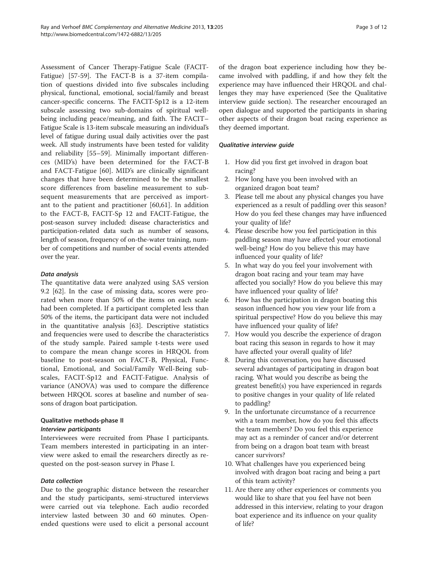Assessment of Cancer Therapy-Fatigue Scale (FACIT-Fatigue) [\[57](#page-11-0)-[59\]](#page-11-0). The FACT-B is a 37-item compilation of questions divided into five subscales including physical, functional, emotional, social/family and breast cancer-specific concerns. The FACIT-Sp12 is a 12-item subscale assessing two sub-domains of spiritual wellbeing including peace/meaning, and faith. The FACIT– Fatigue Scale is 13-item subscale measuring an individual's level of fatigue during usual daily activities over the past week. All study instruments have been tested for validity and reliability [\[55](#page-11-0)–[59](#page-11-0)]. Minimally important differences (MID's) have been determined for the FACT-B and FACT-Fatigue [[60\]](#page-11-0). MID's are clinically significant changes that have been determined to be the smallest score differences from baseline measurement to subsequent measurements that are perceived as important to the patient and practitioner [[60,61\]](#page-11-0). In addition to the FACT-B, FACIT-Sp 12 and FACIT-Fatigue, the post-season survey included: disease characteristics and participation-related data such as number of seasons, length of season, frequency of on-the-water training, number of competitions and number of social events attended over the year.

# Data analysis

The quantitative data were analyzed using SAS version 9.2 [\[62](#page-11-0)]. In the case of missing data, scores were prorated when more than 50% of the items on each scale had been completed. If a participant completed less than 50% of the items, the participant data were not included in the quantitative analysis [\[63](#page-11-0)]. Descriptive statistics and frequencies were used to describe the characteristics of the study sample. Paired sample t-tests were used to compare the mean change scores in HRQOL from baseline to post-season on FACT-B, Physical, Functional, Emotional, and Social/Family Well-Being subscales, FACIT-Sp12 and FACIT-Fatigue. Analysis of variance (ANOVA) was used to compare the difference between HRQOL scores at baseline and number of seasons of dragon boat participation.

# Qualitative methods-phase II

#### Interview participants

Interviewees were recruited from Phase I participants. Team members interested in participating in an interview were asked to email the researchers directly as requested on the post-season survey in Phase I.

# Data collection

Due to the geographic distance between the researcher and the study participants, semi-structured interviews were carried out via telephone. Each audio recorded interview lasted between 30 and 60 minutes. Openended questions were used to elicit a personal account of the dragon boat experience including how they became involved with paddling, if and how they felt the experience may have influenced their HRQOL and challenges they may have experienced (See the Qualitative interview guide section). The researcher encouraged an open dialogue and supported the participants in sharing other aspects of their dragon boat racing experience as they deemed important.

### Qualitative interview guide

- 1. How did you first get involved in dragon boat racing?
- 2. How long have you been involved with an organized dragon boat team?
- 3. Please tell me about any physical changes you have experienced as a result of paddling over this season? How do you feel these changes may have influenced your quality of life?
- 4. Please describe how you feel participation in this paddling season may have affected your emotional well-being? How do you believe this may have influenced your quality of life?
- 5. In what way do you feel your involvement with dragon boat racing and your team may have affected you socially? How do you believe this may have influenced your quality of life?
- 6. How has the participation in dragon boating this season influenced how you view your life from a spiritual perspective? How do you believe this may have influenced your quality of life?
- 7. How would you describe the experience of dragon boat racing this season in regards to how it may have affected your overall quality of life?
- 8. During this conversation, you have discussed several advantages of participating in dragon boat racing. What would you describe as being the greatest benefit(s) you have experienced in regards to positive changes in your quality of life related to paddling?
- 9. In the unfortunate circumstance of a recurrence with a team member, how do you feel this affects the team members? Do you feel this experience may act as a reminder of cancer and/or deterrent from being on a dragon boat team with breast cancer survivors?
- 10. What challenges have you experienced being involved with dragon boat racing and being a part of this team activity?
- 11. Are there any other experiences or comments you would like to share that you feel have not been addressed in this interview, relating to your dragon boat experience and its influence on your quality of life?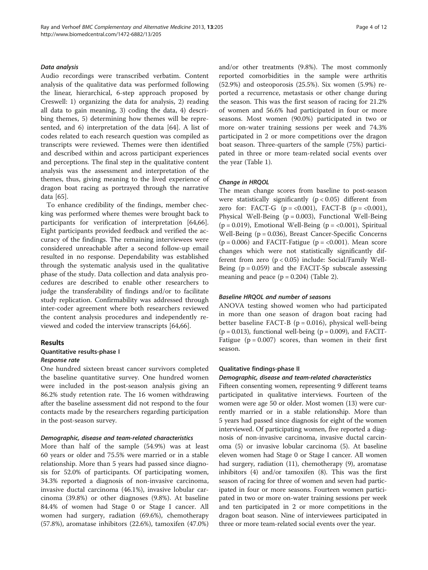#### Data analysis

Audio recordings were transcribed verbatim. Content analysis of the qualitative data was performed following the linear, hierarchical, 6-step approach proposed by Creswell: 1) organizing the data for analysis, 2) reading all data to gain meaning, 3) coding the data, 4) describing themes, 5) determining how themes will be represented, and 6) interpretation of the data [[64](#page-11-0)]. A list of codes related to each research question was compiled as transcripts were reviewed. Themes were then identified and described within and across participant experiences and perceptions. The final step in the qualitative content analysis was the assessment and interpretation of the themes, thus, giving meaning to the lived experience of dragon boat racing as portrayed through the narrative data [[65\]](#page-11-0).

To enhance credibility of the findings, member checking was performed where themes were brought back to participants for verification of interpretation [\[64,66](#page-11-0)]. Eight participants provided feedback and verified the accuracy of the findings. The remaining interviewees were considered unreachable after a second follow-up email resulted in no response. Dependability was established through the systematic analysis used in the qualitative phase of the study. Data collection and data analysis procedures are described to enable other researchers to judge the transferability of findings and/or to facilitate study replication. Confirmability was addressed through inter-coder agreement where both researchers reviewed the content analysis procedures and independently reviewed and coded the interview transcripts [[64,66\]](#page-11-0).

#### Results

# Quantitative results-phase I

Response rate

One hundred sixteen breast cancer survivors completed the baseline quantitative survey. One hundred women were included in the post-season analysis giving an 86.2% study retention rate. The 16 women withdrawing after the baseline assessment did not respond to the four contacts made by the researchers regarding participation in the post-season survey.

#### Demographic, disease and team-related characteristics

More than half of the sample (54.9%) was at least 60 years or older and 75.5% were married or in a stable relationship. More than 5 years had passed since diagnosis for 52.0% of participants. Of participating women, 34.3% reported a diagnosis of non-invasive carcinoma, invasive ductal carcinoma (46.1%), invasive lobular carcinoma (39.8%) or other diagnoses (9.8%). At baseline 84.4% of women had Stage 0 or Stage I cancer. All women had surgery, radiation (69.6%), chemotherapy (57.8%), aromatase inhibitors (22.6%), tamoxifen (47.0%) and/or other treatments (9.8%). The most commonly reported comorbidities in the sample were arthritis (52.9%) and osteoporosis (25.5%). Six women (5.9%) reported a recurrence, metastasis or other change during the season. This was the first season of racing for 21.2% of women and 56.6% had participated in four or more seasons. Most women (90.0%) participated in two or more on-water training sessions per week and 74.3% participated in 2 or more competitions over the dragon boat season. Three-quarters of the sample (75%) participated in three or more team-related social events over the year (Table [1\)](#page-4-0).

#### Change in HRQOL

The mean change scores from baseline to post-season were statistically significantly  $(p < 0.05)$  different from zero for: FACT-G ( $p = < 0.001$ ), FACT-B ( $p = < 0.001$ ), Physical Well-Being (p = 0.003), Functional Well-Being  $(p = 0.019)$ , Emotional Well-Being  $(p = <0.001)$ , Spiritual Well-Being (p = 0.036), Breast Cancer-Specific Concerns  $(p = 0.006)$  and FACIT-Fatigue  $(p = < 0.001)$ . Mean score changes which were not statistically significantly different from zero (p < 0.05) include: Social/Family Well-Being  $(p = 0.059)$  and the FACIT-Sp subscale assessing meaning and peace  $(p = 0.204)$  (Table [2\)](#page-5-0).

#### Baseline HRQOL and number of seasons

ANOVA testing showed women who had participated in more than one season of dragon boat racing had better baseline FACT-B ( $p = 0.016$ ), physical well-being  $(p = 0.013)$ , functional well-being  $(p = 0.009)$ , and FACIT-Fatigue ( $p = 0.007$ ) scores, than women in their first season.

#### Qualitative findings-phase II

Demographic, disease and team-related characteristics

Fifteen consenting women, representing 9 different teams participated in qualitative interviews. Fourteen of the women were age 50 or older. Most women (13) were currently married or in a stable relationship. More than 5 years had passed since diagnosis for eight of the women interviewed. Of participating women, five reported a diagnosis of non-invasive carcinoma, invasive ductal carcinoma (5) or invasive lobular carcinoma (5). At baseline eleven women had Stage 0 or Stage I cancer. All women had surgery, radiation (11), chemotherapy (9), aromatase inhibitors (4) and/or tamoxifen (8). This was the first season of racing for three of women and seven had participated in four or more seasons. Fourteen women participated in two or more on-water training sessions per week and ten participated in 2 or more competitions in the dragon boat season. Nine of interviewees participated in three or more team-related social events over the year.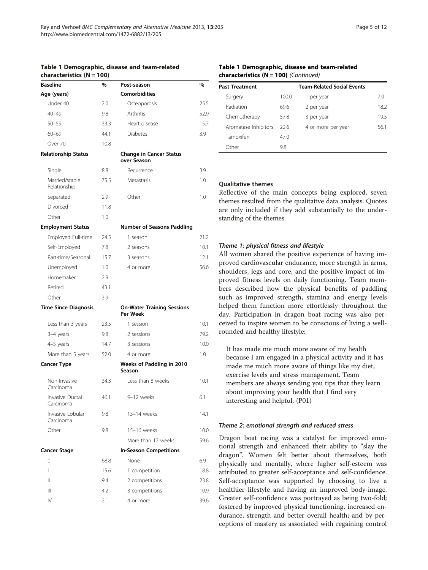#### <span id="page-4-0"></span>Table 1 Demographic, disease and team-related characteristics (N = 100)

| <b>Baseline</b>                | $\%$ | Post-season                                   | %    |
|--------------------------------|------|-----------------------------------------------|------|
| Age (years)                    |      | <b>Comorbidities</b>                          |      |
| Under 40                       | 2.0  | Osteoporosis                                  | 25.5 |
| $40 - 49$                      | 9.8  | Arthritis                                     | 52.9 |
| $50 - 59$                      | 33.3 | Heart disease                                 | 15.7 |
| $60 - 69$                      | 44.1 | <b>Diabetes</b>                               | 3.9  |
| Over 70                        | 10.8 |                                               |      |
| <b>Relationship Status</b>     |      | <b>Change in Cancer Status</b><br>over Season |      |
| Single                         | 8.8  | Recurrence                                    | 3.9  |
| Married/stable<br>Relationship | 75.5 | Metastasis                                    | 1.0  |
| Separated                      | 2.9  | Other                                         | 1.0  |
| Divorced                       | 11.8 |                                               |      |
| Other                          | 1.0  |                                               |      |
| <b>Employment Status</b>       |      | <b>Number of Seasons Paddling</b>             |      |
| Employed Full-time             | 24.5 | 1 season                                      | 21.2 |
| Self-Employed                  | 7.8  | 2 seasons                                     | 10.1 |
| Part-time/Seasonal             | 15.7 | 3 seasons                                     | 12.1 |
| Unemployed                     | 1.0  | 4 or more                                     | 56.6 |
| Homemaker                      | 2.9  |                                               |      |
| Retired                        | 43.1 |                                               |      |
| Other                          | 3.9  |                                               |      |
| <b>Time Since Diagnosis</b>    |      | <b>On-Water Training Sessions</b><br>Per Week |      |
| Less than 3 years              | 23.5 | 1 session                                     | 10.1 |
| 3-4 years                      | 9.8  | 2 sessions                                    | 79.2 |
| 4-5 years                      | 14.7 | 3 sessions                                    | 10.0 |
| More than 5 years              | 52.0 | 4 or more                                     | 1.0  |
| <b>Cancer Type</b>             |      | Weeks of Paddling in 2010<br>Season           |      |
| Non-Invasive<br>Carcinoma      | 34.3 | Less than 8 weeks                             | 10.1 |
| Invasive Ductal<br>Carcinoma   | 46.1 | 9-12 weeks                                    | 6.1  |
| Invasive Lobular<br>Carcinoma  | 9.8  | 13-14 weeks                                   | 14.1 |
| Other                          | 9.8  | 15-16 weeks                                   | 10.0 |
|                                |      | More than 17 weeks                            | 59.6 |
| <b>Cancer Stage</b>            |      | <b>In-Season Competitions</b>                 |      |
| 0                              | 68.8 | None                                          | 6.9  |
| I                              | 15.6 | 1 competition                                 | 18.8 |
| Ш                              | 9.4  | 2 competitions                                | 23.8 |
| Ш                              | 4.2  | 3 competitions                                | 10.9 |
| IV                             | 2.1  | 4 or more                                     | 39.6 |

| Table 1 Demographic, disease and team-related |  |  |  |  |
|-----------------------------------------------|--|--|--|--|
| <b>characteristics (N = 100)</b> (Continued)  |  |  |  |  |

| <b>Past Treatment</b> |       | <b>Team-Related Social Events</b> |      |
|-----------------------|-------|-----------------------------------|------|
| Surgery               | 100.0 | 1 per year                        | 7.0  |
| Radiation             | 69.6  | 2 per year                        | 18.2 |
| Chemotherapy          | 57.8  | 3 per year                        | 19.5 |
| Aromatase Inhibitors  | 226   | 4 or more per year                | 56.1 |
| Tamoxifen             | 47.0  |                                   |      |
| Other                 | 9.8   |                                   |      |

Qualitative themes

Reflective of the main concepts being explored, seven themes resulted from the qualitative data analysis. Quotes are only included if they add substantially to the understanding of the themes.

#### Theme 1: physical fitness and lifestyle

All women shared the positive experience of having improved cardiovascular endurance, more strength in arms, shoulders, legs and core, and the positive impact of improved fitness levels on daily functioning. Team members described how the physical benefits of paddling such as improved strength, stamina and energy levels helped them function more effortlessly throughout the day. Participation in dragon boat racing was also perceived to inspire women to be conscious of living a wellrounded and healthy lifestyle:

It has made me much more aware of my health because I am engaged in a physical activity and it has made me much more aware of things like my diet, exercise levels and stress management. Team members are always sending you tips that they learn about improving your health that I find very interesting and helpful. (P01)

#### Theme 2: emotional strength and reduced stress

Dragon boat racing was a catalyst for improved emotional strength and enhanced their ability to "slay the dragon". Women felt better about themselves, both physically and mentally, where higher self-esteem was attributed to greater self-acceptance and self-confidence. Self-acceptance was supported by choosing to live a healthier lifestyle and having an improved body-image. Greater self-confidence was portrayed as being two-fold; fostered by improved physical functioning, increased endurance, strength and better overall health; and by perceptions of mastery as associated with regaining control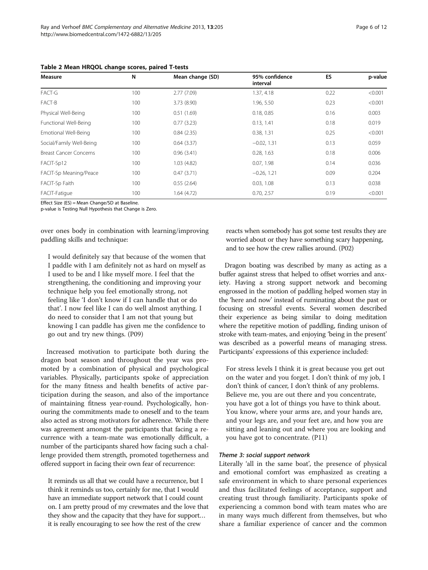| Page 6 of 12 |  |  |
|--------------|--|--|
|              |  |  |

| Measure                       | N<br>Mean change (SD) |             | 95% confidence<br>interval | ES   | p-value |
|-------------------------------|-----------------------|-------------|----------------------------|------|---------|
| FACT-G                        | 100                   | 2.77(7.09)  | 1.37, 4.18                 | 0.22 | < 0.001 |
| FACT-B                        | 100                   | 3.73 (8.90) | 1.96, 5.50                 | 0.23 | < 0.001 |
| Physical Well-Being           | 100                   | 0.51(1.69)  | 0.18, 0.85                 | 0.16 | 0.003   |
| Functional Well-Being         | 100                   | 0.77(3.23)  | 0.13, 1.41                 | 0.18 | 0.019   |
| Emotional Well-Being          | 100                   | 0.84(2.35)  | 0.38, 1.31                 | 0.25 | < 0.001 |
| Social/Family Well-Being      | 100                   | 0.64(3.37)  | $-0.02, 1.31$              | 0.13 | 0.059   |
| <b>Breast Cancer Concerns</b> | 100                   | 0.96(3.41)  | 0.28, 1.63                 | 0.18 | 0.006   |
| FACIT-Sp12                    | 100                   | 1.03(4.82)  | 0.07, 1.98                 | 0.14 | 0.036   |
| FACIT-Sp Meaning/Peace        | 100                   | 0.47(3.71)  | $-0.26, 1.21$              | 0.09 | 0.204   |
| FACIT-Sp Faith                | 100                   | 0.55(2.64)  | 0.03, 1.08                 | 0.13 | 0.038   |
| FACIT-Fatique                 | 100                   | 1.64(4.72)  | 0.70, 2.57                 | 0.19 | < 0.001 |

<span id="page-5-0"></span>Table 2 Mean HRQOL change scores, paired T-tests

Effect Size (ES) = Mean Change/SD at Baseline.

p-value is Testing Null Hypothesis that Change is Zero.

over ones body in combination with learning/improving paddling skills and technique:

I would definitely say that because of the women that I paddle with I am definitely not as hard on myself as I used to be and I like myself more. I feel that the strengthening, the conditioning and improving your technique help you feel emotionally strong, not feeling like 'I don't know if I can handle that or do that'. I now feel like I can do well almost anything. I do need to consider that I am not that young but knowing I can paddle has given me the confidence to go out and try new things. (P09)

Increased motivation to participate both during the dragon boat season and throughout the year was promoted by a combination of physical and psychological variables. Physically, participants spoke of appreciation for the many fitness and health benefits of active participation during the season, and also of the importance of maintaining fitness year-round. Psychologically, honouring the commitments made to oneself and to the team also acted as strong motivators for adherence. While there was agreement amongst the participants that facing a recurrence with a team-mate was emotionally difficult, a number of the participants shared how facing such a challenge provided them strength, promoted togetherness and offered support in facing their own fear of recurrence:

It reminds us all that we could have a recurrence, but I think it reminds us too, certainly for me, that I would have an immediate support network that I could count on. I am pretty proud of my crewmates and the love that they show and the capacity that they have for support… it is really encouraging to see how the rest of the crew

reacts when somebody has got some test results they are worried about or they have something scary happening, and to see how the crew rallies around. (P02)

Dragon boating was described by many as acting as a buffer against stress that helped to offset worries and anxiety. Having a strong support network and becoming engrossed in the motion of paddling helped women stay in the 'here and now' instead of ruminating about the past or focusing on stressful events. Several women described their experience as being similar to doing meditation where the repetitive motion of paddling, finding unison of stroke with team-mates, and enjoying 'being in the present' was described as a powerful means of managing stress. Participants' expressions of this experience included:

For stress levels I think it is great because you get out on the water and you forget. I don't think of my job, I don't think of cancer, I don't think of any problems. Believe me, you are out there and you concentrate, you have got a lot of things you have to think about. You know, where your arms are, and your hands are, and your legs are, and your feet are, and how you are sitting and leaning out and where you are looking and you have got to concentrate. (P11)

#### Theme 3: social support network

Literally 'all in the same boat', the presence of physical and emotional comfort was emphasized as creating a safe environment in which to share personal experiences and thus facilitated feelings of acceptance, support and creating trust through familiarity. Participants spoke of experiencing a common bond with team mates who are in many ways much different from themselves, but who share a familiar experience of cancer and the common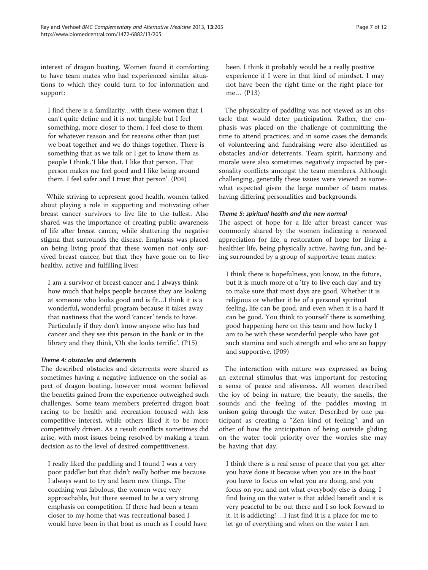interest of dragon boating. Women found it comforting to have team mates who had experienced similar situations to which they could turn to for information and

I find there is a familiarity…with these women that I can't quite define and it is not tangible but I feel something, more closer to them; I feel close to them for whatever reason and for reasons other than just we boat together and we do things together. There is something that as we talk or I get to know them as people I think, 'I like that. I like that person. That person makes me feel good and I like being around them. I feel safer and I trust that person'. (P04)

support:

While striving to represent good health, women talked about playing a role in supporting and motivating other breast cancer survivors to live life to the fullest. Also shared was the importance of creating public awareness of life after breast cancer, while shattering the negative stigma that surrounds the disease. Emphasis was placed on being living proof that these women not only survived breast cancer, but that they have gone on to live healthy, active and fulfilling lives:

I am a survivor of breast cancer and I always think how much that helps people because they are looking at someone who looks good and is fit…I think it is a wonderful, wonderful program because it takes away that nastiness that the word 'cancer' tends to have. Particularly if they don't know anyone who has had cancer and they see this person in the bank or in the library and they think, 'Oh she looks terrific'. (P15)

#### Theme 4: obstacles and deterrents

The described obstacles and deterrents were shared as sometimes having a negative influence on the social aspect of dragon boating, however most women believed the benefits gained from the experience outweighed such challenges. Some team members preferred dragon boat racing to be health and recreation focused with less competitive interest, while others liked it to be more competitively driven. As a result conflicts sometimes did arise, with most issues being resolved by making a team decision as to the level of desired competitiveness.

I really liked the paddling and I found I was a very poor paddler but that didn't really bother me because I always want to try and learn new things. The coaching was fabulous, the women were very approachable, but there seemed to be a very strong emphasis on competition. If there had been a team closer to my home that was recreational based I would have been in that boat as much as I could have been. I think it probably would be a really positive experience if I were in that kind of mindset. I may not have been the right time or the right place for me… (P13)

The physicality of paddling was not viewed as an obstacle that would deter participation. Rather, the emphasis was placed on the challenge of committing the time to attend practices; and in some cases the demands of volunteering and fundraising were also identified as obstacles and/or deterrents. Team spirit, harmony and morale were also sometimes negatively impacted by personality conflicts amongst the team members. Although challenging, generally these issues were viewed as somewhat expected given the large number of team mates having differing personalities and backgrounds.

#### Theme 5: spiritual health and the new normal

The aspect of hope for a life after breast cancer was commonly shared by the women indicating a renewed appreciation for life, a restoration of hope for living a healthier life, being physically active, having fun, and being surrounded by a group of supportive team mates:

I think there is hopefulness, you know, in the future, but it is much more of a 'try to live each day' and try to make sure that most days are good. Whether it is religious or whether it be of a personal spiritual feeling, life can be good, and even when it is a hard it can be good. You think to yourself there is something good happening here on this team and how lucky I am to be with these wonderful people who have got such stamina and such strength and who are so happy and supportive. (P09)

The interaction with nature was expressed as being an external stimulus that was important for restoring a sense of peace and aliveness. All women described the joy of being in nature, the beauty, the smells, the sounds and the feeling of the paddles moving in unison going through the water. Described by one participant as creating a "Zen kind of feeling"; and another of how the anticipation of being outside gliding on the water took priority over the worries she may be having that day.

I think there is a real sense of peace that you get after you have done it because when you are in the boat you have to focus on what you are doing, and you focus on you and not what everybody else is doing. I find being on the water is that added benefit and it is very peaceful to be out there and I so look forward to it. It is addicting! …I just find it is a place for me to let go of everything and when on the water I am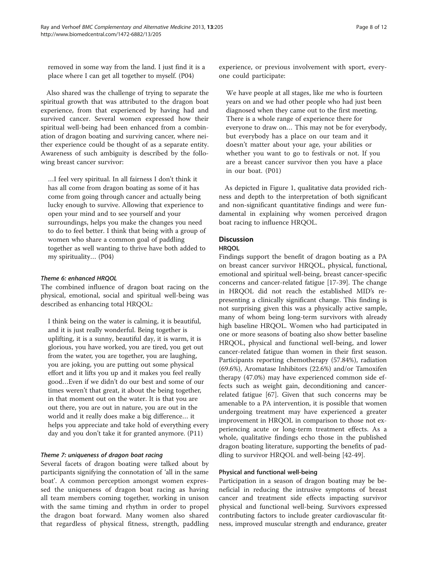removed in some way from the land. I just find it is a place where I can get all together to myself. (P04)

Also shared was the challenge of trying to separate the spiritual growth that was attributed to the dragon boat experience, from that experienced by having had and survived cancer. Several women expressed how their spiritual well-being had been enhanced from a combination of dragon boating and surviving cancer, where neither experience could be thought of as a separate entity. Awareness of such ambiguity is described by the following breast cancer survivor:

…I feel very spiritual. In all fairness I don't think it has all come from dragon boating as some of it has come from going through cancer and actually being lucky enough to survive. Allowing that experience to open your mind and to see yourself and your surroundings, helps you make the changes you need to do to feel better. I think that being with a group of women who share a common goal of paddling together as well wanting to thrive have both added to my spirituality… (P04)

#### Theme 6: enhanced HRQOL

The combined influence of dragon boat racing on the physical, emotional, social and spiritual well-being was described as enhancing total HRQOL:

I think being on the water is calming, it is beautiful, and it is just really wonderful. Being together is uplifting, it is a sunny, beautiful day, it is warm, it is glorious, you have worked, you are tired, you get out from the water, you are together, you are laughing, you are joking, you are putting out some physical effort and it lifts you up and it makes you feel really good…Even if we didn't do our best and some of our times weren't that great, it about the being together, in that moment out on the water. It is that you are out there, you are out in nature, you are out in the world and it really does make a big difference… it helps you appreciate and take hold of everything every day and you don't take it for granted anymore. (P11)

#### Theme 7: uniqueness of dragon boat racing

Several facets of dragon boating were talked about by participants signifying the connotation of 'all in the same boat'. A common perception amongst women expressed the uniqueness of dragon boat racing as having all team members coming together, working in unison with the same timing and rhythm in order to propel the dragon boat forward. Many women also shared that regardless of physical fitness, strength, paddling

experience, or previous involvement with sport, everyone could participate:

We have people at all stages, like me who is fourteen years on and we had other people who had just been diagnosed when they came out to the first meeting. There is a whole range of experience there for everyone to draw on… This may not be for everybody, but everybody has a place on our team and it doesn't matter about your age, your abilities or whether you want to go to festivals or not. If you are a breast cancer survivor then you have a place in our boat. (P01)

As depicted in Figure [1](#page-8-0), qualitative data provided richness and depth to the interpretation of both significant and non-significant quantitative findings and were fundamental in explaining why women perceived dragon boat racing to influence HRQOL.

#### **Discussion**

#### **HROOL**

Findings support the benefit of dragon boating as a PA on breast cancer survivor HRQOL, physical, functional, emotional and spiritual well-being, breast cancer-specific concerns and cancer-related fatigue [\[17](#page-10-0)-[39\]](#page-10-0). The change in HRQOL did not reach the established MID's representing a clinically significant change. This finding is not surprising given this was a physically active sample, many of whom being long-term survivors with already high baseline HRQOL. Women who had participated in one or more seasons of boating also show better baseline HRQOL, physical and functional well-being, and lower cancer-related fatigue than women in their first season. Participants reporting chemotherapy (57.84%), radiation (69.6%), Aromatase Inhibitors (22.6%) and/or Tamoxifen therapy (47.0%) may have experienced common side effects such as weight gain, deconditioning and cancerrelated fatigue [[67](#page-11-0)]. Given that such concerns may be amenable to a PA intervention, it is possible that women undergoing treatment may have experienced a greater improvement in HRQOL in comparison to those not experiencing acute or long-term treatment effects. As a whole, qualitative findings echo those in the published dragon boating literature, supporting the benefits of paddling to survivor HRQOL and well-being [[42](#page-10-0)-[49\]](#page-10-0).

#### Physical and functional well-being

Participation in a season of dragon boating may be beneficial in reducing the intrusive symptoms of breast cancer and treatment side effects impacting survivor physical and functional well-being. Survivors expressed contributing factors to include greater cardiovascular fitness, improved muscular strength and endurance, greater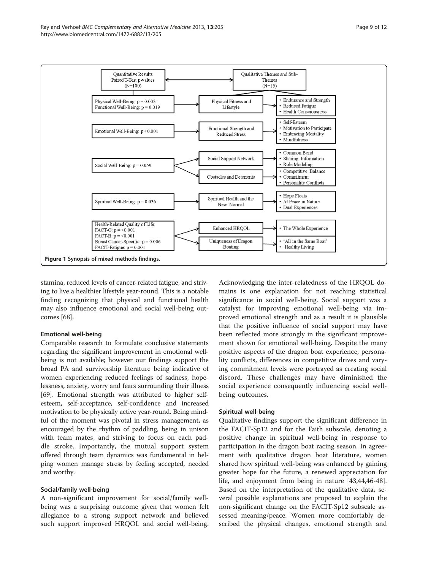<span id="page-8-0"></span>

stamina, reduced levels of cancer-related fatigue, and striving to live a healthier lifestyle year-round. This is a notable finding recognizing that physical and functional health may also influence emotional and social well-being outcomes [[68](#page-11-0)].

#### Emotional well-being

Comparable research to formulate conclusive statements regarding the significant improvement in emotional wellbeing is not available; however our findings support the broad PA and survivorship literature being indicative of women experiencing reduced feelings of sadness, hopelessness, anxiety, worry and fears surrounding their illness [[69](#page-11-0)]. Emotional strength was attributed to higher selfesteem, self-acceptance, self-confidence and increased motivation to be physically active year-round. Being mindful of the moment was pivotal in stress management, as encouraged by the rhythm of paddling, being in unison with team mates, and striving to focus on each paddle stroke. Importantly, the mutual support system offered through team dynamics was fundamental in helping women manage stress by feeling accepted, needed and worthy.

#### Social/family well-being

A non-significant improvement for social/family wellbeing was a surprising outcome given that women felt allegiance to a strong support network and believed such support improved HRQOL and social well-being. Acknowledging the inter-relatedness of the HRQOL domains is one explanation for not reaching statistical significance in social well-being. Social support was a catalyst for improving emotional well-being via improved emotional strength and as a result it is plausible that the positive influence of social support may have been reflected more strongly in the significant improvement shown for emotional well-being. Despite the many positive aspects of the dragon boat experience, personality conflicts, differences in competitive drives and varying commitment levels were portrayed as creating social discord. These challenges may have diminished the social experience consequently influencing social wellbeing outcomes.

#### Spiritual well-being

Qualitative findings support the significant difference in the FACIT-Sp12 and for the Faith subscale, denoting a positive change in spiritual well-being in response to participation in the dragon boat racing season. In agreement with qualitative dragon boat literature, women shared how spiritual well-being was enhanced by gaining greater hope for the future, a renewed appreciation for life, and enjoyment from being in nature [\[43,44,46-48](#page-10-0)]. Based on the interpretation of the qualitative data, several possible explanations are proposed to explain the non-significant change on the FACIT-Sp12 subscale assessed meaning/peace. Women more comfortably described the physical changes, emotional strength and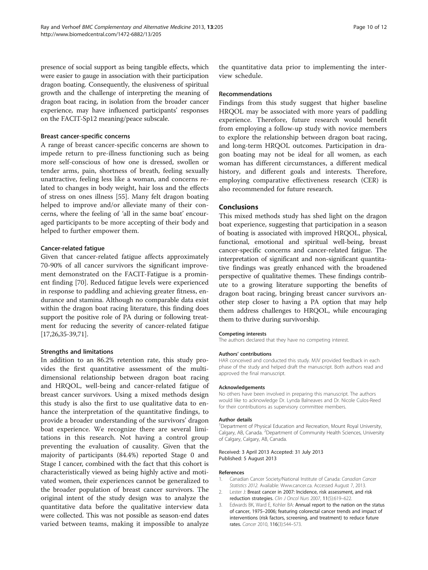<span id="page-9-0"></span>presence of social support as being tangible effects, which were easier to gauge in association with their participation dragon boating. Consequently, the elusiveness of spiritual growth and the challenge of interpreting the meaning of dragon boat racing, in isolation from the broader cancer experience, may have influenced participants' responses on the FACIT-Sp12 meaning/peace subscale.

#### Breast cancer-specific concerns

A range of breast cancer-specific concerns are shown to impede return to pre-illness functioning such as being more self-conscious of how one is dressed, swollen or tender arms, pain, shortness of breath, feeling sexually unattractive, feeling less like a woman, and concerns related to changes in body weight, hair loss and the effects of stress on ones illness [\[55](#page-11-0)]. Many felt dragon boating helped to improve and/or alleviate many of their concerns, where the feeling of 'all in the same boat' encouraged participants to be more accepting of their body and helped to further empower them.

#### Cancer-related fatigue

Given that cancer-related fatigue affects approximately 70-90% of all cancer survivors the significant improvement demonstrated on the FACIT-Fatigue is a prominent finding [[70](#page-11-0)]. Reduced fatigue levels were experienced in response to paddling and achieving greater fitness, endurance and stamina. Although no comparable data exist within the dragon boat racing literature, this finding does support the positive role of PA during or following treatment for reducing the severity of cancer-related fatigue [[17,26,35-39,](#page-10-0)[71\]](#page-11-0).

#### Strengths and limitations

In addition to an 86.2% retention rate, this study provides the first quantitative assessment of the multidimensional relationship between dragon boat racing and HRQOL, well-being and cancer-related fatigue of breast cancer survivors. Using a mixed methods design this study is also the first to use qualitative data to enhance the interpretation of the quantitative findings, to provide a broader understanding of the survivors' dragon boat experience. We recognize there are several limitations in this research. Not having a control group preventing the evaluation of causality. Given that the majority of participants (84.4%) reported Stage 0 and Stage I cancer, combined with the fact that this cohort is characteristically viewed as being highly active and motivated women, their experiences cannot be generalized to the broader population of breast cancer survivors. The original intent of the study design was to analyze the quantitative data before the qualitative interview data were collected. This was not possible as season-end dates varied between teams, making it impossible to analyze

the quantitative data prior to implementing the interview schedule.

#### Recommendations

Findings from this study suggest that higher baseline HRQOL may be associated with more years of paddling experience. Therefore, future research would benefit from employing a follow-up study with novice members to explore the relationship between dragon boat racing, and long-term HRQOL outcomes. Participation in dragon boating may not be ideal for all women, as each woman has different circumstances, a different medical history, and different goals and interests. Therefore, employing comparative effectiveness research (CER) is also recommended for future research.

#### Conclusions

This mixed methods study has shed light on the dragon boat experience, suggesting that participation in a season of boating is associated with improved HRQOL, physical, functional, emotional and spiritual well-being, breast cancer-specific concerns and cancer-related fatigue. The interpretation of significant and non-significant quantitative findings was greatly enhanced with the broadened perspective of qualitative themes. These findings contribute to a growing literature supporting the benefits of dragon boat racing, bringing breast cancer survivors another step closer to having a PA option that may help them address challenges to HRQOL, while encouraging them to thrive during survivorship.

#### Competing interests

The authors declared that they have no competing interest.

#### Authors' contributions

HAR conceived and conducted this study. MJV provided feedback in each phase of the study and helped draft the manuscript. Both authors read and approved the final manuscript.

#### Acknowledgements

No others have been involved in preparing this manuscript. The authors would like to acknowledge Dr. Lynda Balneaves and Dr. Nicole Culos-Reed for their contributions as supervisory committee members.

#### Author details

<sup>1</sup>Department of Physical Education and Recreation, Mount Royal University, Calgary, AB, Canada. <sup>2</sup>Department of Community Health Sciences, University of Calgary, Calgary, AB, Canada.

#### Received: 3 April 2013 Accepted: 31 July 2013 Published: 5 August 2013

#### References

- 1. Canadian Cancer Society/National Institute of Canada: Canadian Cancer Statistics 2012. Available: [Www.cancer.ca.](http://www.cancer.ca) Accessed August 7, 2013.
- 2. Lester J: Breast cancer in 2007: Incidence, risk assessment, and risk reduction strategies. Clin J Oncol Nurs 2007, 11(5):619–622.
- 3. Edwards BK, Ward E, Kohler BA: Annual report to the nation on the status of cancer, 1975–2006; featuring colorectal cancer trends and impact of interventions (risk factors, screening, and treatment) to reduce future rates. Cancer 2010, 116(3):544–573.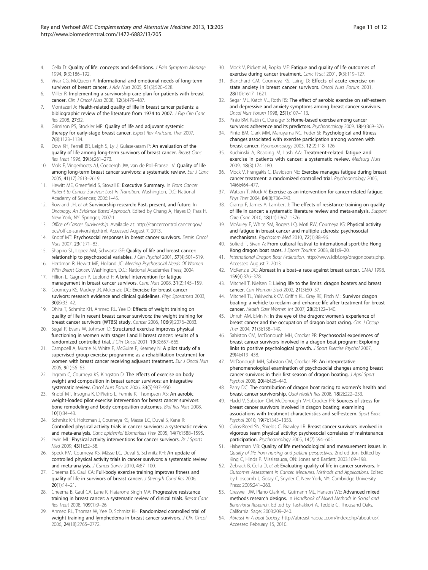- <span id="page-10-0"></span>4. Cella D: Quality of life: concepts and definitions. J Pain Symptom Manage 1994, 9(3):186–192.
- 5. Vivar CG, McQueen A: Informational and emotional needs of long-term survivors of breast cancer. J Adv Nurs 2005, 51(5):520-528.
- 6. Miller R: Implementing a survivorship care plan for patients with breast cancer. Clin J Oncol Nurs 2008, 12(3):479–487.
- 7. Montazeri A: Health-related quality of life in breast cancer patients: a bibliographic review of the literature from 1974 to 2007. J Exp Clin Canc Res 2008, 27:32.
- Grimison PS, Stockler MR: Quality of life and adjuvant systemic therapy for early-stage breast cancer. Expert Rev Anticanc Ther 2007, 7(8):1123–1134.
- 9. Dow KH, Ferrell BR, Leigh S, Ly J, Gulasekaram P: An evaluation of the quality of life among long-term survivors of breast cancer. Breast Canc Res Treat 1996, 39(3):261–273.
- 10. Mols F, Vingerhoets AJ, Coebergh JW, van de Poll-Franse LV: Quality of life among long-term breast cancer survivors: a systematic review. Eur J Canc 2005, 41(17):2613–2619.
- 11. Hewitt ME, Greenfield S, Stovall E: Executive Summary. In From Cancer Patient to Cancer Survivor: Lost In Transition. Washington, D.C: National Academy of Sciences; 2006:1–45.
- 12. Rowland JH, et al: Survivorship research: Past, present, and future. In Oncology: An Evidence Based Approach. Edited by Chang A, Hayes D, Pass H. New York, NY: Springer; 2007:1.
- 13. Office of Cancer Survivorship. Available at: [http://cancercontrol.cancer.gov/](http://cancercontrol.cancer.gov/ocs/office-survivorship.html) [ocs/office-survivorship.html](http://cancercontrol.cancer.gov/ocs/office-survivorship.html). Accessed August 7, 2013.
- 14. Knobf MT: Psychosocial responses in breast cancer survivors. Semin Oncol Nurs 2007, 23(1):71–83.
- 15. Shapiro SL, Lopez AM, Schwartz GE: Quality of life and breast cancer: relationship to psychosocial variables. J Clin Psychol 2001, 57(4):501-519.
- 16. Herdman R, Hewitt ME, Holland JC: Meeting Psychosocial Needs Of Women With Breast Cancer. Washington, D.C.: National Academies Press; 2004.
- 17. Fillion L, Gagnon P, Leblond F: A brief intervention for fatigue management in breast cancer survivors. Canc Nurs 2008, 31(2):145–159.
- 18. Courneya KS, Mackey JR, Mckenzie DC: Exercise for breast cancer suvivors: research evidence and clinical quidelines. Phys Sporstmed 2003, 30(8):33–42.
- 19. Ohira T, Schmitz KH, Ahmed RL, Yee D: Effects of weight training on quality of life in recent breast cancer survivors: the weight training for breast cancer survivors (WTBS) study. Cancer 2006, 106(9):2076–2083.
- 20. Segal R, Evans W, Johnson D: Structured exercise improves physical functioning in women with stages I and II breast cancer: results of a randomized controlled trial. J Clin Oncol 2001, 19(3):657–665.
- 21. Campbell A, Mutrie N, White F, McGuire F, Kearney N: A pilot study of a supervised group exercise programme as a rehabilitation treatment for women with breast cancer receiving adjuvant treatment. Eur J Oncol Nurs 2005, 9(1):56–63.
- 22. Ingram C, Courneya KS, Kingston D: The effects of exercise on body weight and composition in breast cancer survivors: an integrative systematic review. Oncol Nurs Forum 2006, 33(5):937–950.
- 23. Knobf MT, Insogna K, DiPietro L, Fennie K, Thompson AS: An aerobic weight-loaded pilot exercise intervention for breast cancer survivors: bone remodeling and body composition outcomes. Biol Res Nurs 2008, 10(1):34–43.
- 24. Schmitz KH, Holtzman J, Courneya KS, Masse LC, Duval S, Kane R: Controlled physical activity trials in cancer survivors: a systematic review and meta-analysis. Canc Epidemiol Biomarkers Prev 2005, 14(7):1588–1595.
- 25. Irwin ML: Physical activity interventions for cancer survivors. Br J Sports Med 2009, 43(1):32–38.
- 26. Speck RM, Courneya KS, Mâsse LC, Duval S, Schmitz KH: An update of controlled physical activity trials in cancer survivors: a systematic review and meta-analysis. J Cancer Surviv 2010, 4:87-100.
- 27. Cheema BS, Gaul CA: Full-body exercise training improves fitness and quality of life in survivors of breast cancer. J Strength Cond Res 2006, 20(1):14–21.
- 28. Cheema B, Gaul CA, Lane K, Fiatarone Singh MA: Progressive resistance training in breast cancer: a systematic review of clinical trials. Breast Canc Res Treat 2008, 109(1):9–26.
- 29. Ahmed RL, Thomas W, Yee D, Schmitz KH: Randomized controlled trial of weight training and lymphedema in breast cancer survivors. J Clin Oncol 2006, 24(18):2765–2772.
- 30. Mock V, Pickett M, Ropka ME: Fatigue and quality of life outcomes of exercise during cancer treatment. Canc Pract 2001, 9(3):119–127.
- 31. Blanchard CM, Courneya KS, Laing D: Effects of acute exercise on state anxiety in breast cancer survivors. Oncol Nurs Forum 2001, 28(10):1617–1621.
- 32. Segar ML, Katch VL, Roth RS: The effect of aerobic exercise on self-esteem and depressive and anxiety symptoms among breast cancer survivors. Oncol Nurs Forum 1998, 25(1):107–113.
- 33. Pinto BM, Rabin C, Dunsiger S: Home-based exercise among cancer survivors: adherence and its predictors. Psychooncology 2009, 18(4):369-376.
- 34. Pinto BM, Clark MM, Maruyama NC, Feder SI: Psychological and fitness changes associated with exercise participation among women with breast cancer. Psychooncology 2003, 12(2):118–126.
- 35. Kuchinski A, Reading M, Lash AA: Treatment-related fatigue and exercise in patients with cancer: a systematic review. Medsurg Nurs 2009, 18(3):174–180.
- 36. Mock V, Frangakis C, Davidson NE: Exercise manages fatigue during breast cancer treatment: a randomized controlled trial. Psychooncology 2005, 14(6):464–477.
- 37. Watson T, Mock V: Exercise as an intervention for cancer-related fatique. Phys Ther 2004, 84(8):736-743.
- Cramp F, James A, Lambert J: The effects of resistance training on quality of life in cancer: a systematic literature review and meta-analysis. Support Care Canc 2010, 18(11):1367–1376.
- 39. McAuley E, White SM, Rogers LQ, Motl RW, Courneya KS: Physical activity and fatigue in breast cancer and multiple sclerosis: psychosocial mechanisms. Psychosom Med 2010, 72(1):88–96.
- 40. Sofield T, Sivan A: From cultural festival to international sport-the Hong Kong dragon boat races. J Sports Tourism 2003, 8(1):9-20.
- 41. International Dragon Boat Federation. <http://www.idbf.org/dragonboats.php>. Accessed August 7, 2013.
- 42. McKenzie DC: Abreast in a boat–a race against breast cancer. CMAJ 1998, 159(4):376–378.
- 43. Mitchell T, Nielsen E: Living life to the limits: dragon boaters and breast cancer. Can Woman Stud 2002, 21(3):50–57.
- 44. Mitchell TL, Yakiwchuk CV, Griffin KL, Gray RE, Fitch MI: Survivor dragon boating: a vehicle to reclaim and enhance life after treatment for breast cancer. Health Care Women Int 2007, 28(2):122–140.
- 45. Unruh AM, Elvin N: In the eye of the dragon: women's experience of breast cancer and the occupation of dragon boat racing. Can J Occup Ther 2004, 71(3):138–149.
- 46. Sabiston CM, McDonough MH, Crocker PR: Psychosocial experiences of breast cancer survivors involved in a dragon boat program: Exploring links to positive psychological growth. J Sport Exercise Psychol 2007, 29(4):419–438.
- 47. McDonough MH, Sabiston CM, Crocker PR: An interpretative phenomenological examination of psychosocial changes among breast cancer survivors in their first season of dragon boating. J Appl Sport Psychol 2008, 20(4):425–440.
- 48. Parry DC: The contribution of dragon boat racing to women's health and breast cancer survivorship. Qual Health Res 2008, 18(2):222–233.
- 49. Hadd V, Sabiston CM, McDonough MH, Crocker PR: Sources of stress for breast cancer survivors involved in dragon boating: examining associations with treatment characteristics and self-esteem. Sport Exerc Psychol 2010, 19(7):1345–1353.
- 50. Culos-Reed SN, Shields C, Brawley LR: Breast cancer survivors involved in vigorous team physical activity: psychosocial correlates of maintenance participation. Psychooncology 2005, 14(7):594-605.
- 51. Haberman MB: Quality of life methodological and measurement issues. In Quality of life from nursing and patient perspectives. 2nd edition. Edited by King C, Hinds P. Mississauga, ON: Jones and Bartlett; 2003:169–198.
- 52. Zebrack B, Cella D, et al: Evaluating quality of life in cancer survivors. In Outcomes Assessment in Cancer. Measures, Methods and Applications. Edited by Lipscomb J, Gotay C, Snyder C. New York, NY: Cambridge University Press; 2005:241–263.
- 53. Creswell JW, Plano Clark VL, Gutmann ML, Hanson WE: Advanced mixed methods research designs. In Handbook of Mixed Methods in Social and Behavioral Research. Edited by Tashakkori A, Teddie C. Thousand Oaks, California: Sage; 2003:209–240.
- 54. Abreast in A boat Society. [http://abreastinaboat.com/index.php/about-us/.](http://abreastinaboat.com/index.php/about-us/) Accessed February 15, 2010.